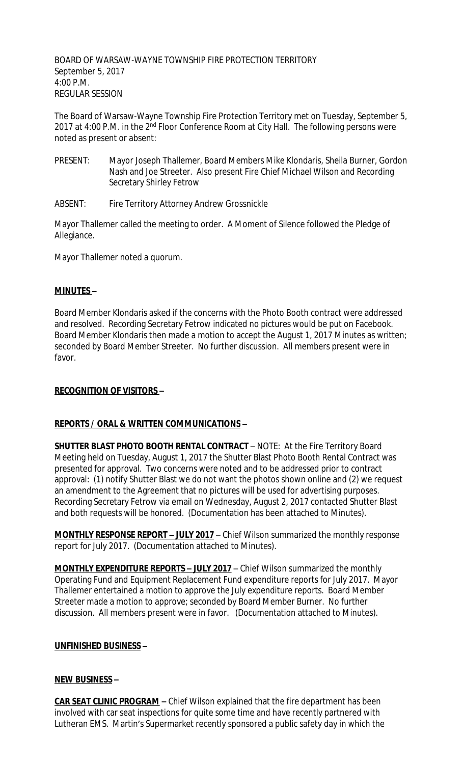BOARD OF WARSAW-WAYNE TOWNSHIP FIRE PROTECTION TERRITORY September 5, 2017 4:00 P.M. REGULAR SESSION

The Board of Warsaw-Wayne Township Fire Protection Territory met on Tuesday, September 5, 2017 at 4:00 P.M. in the 2<sup>nd</sup> Floor Conference Room at City Hall. The following persons were noted as present or absent:

- PRESENT: Mayor Joseph Thallemer, Board Members Mike Klondaris, Sheila Burner, Gordon Nash and Joe Streeter. Also present Fire Chief Michael Wilson and Recording Secretary Shirley Fetrow
- ABSENT: Fire Territory Attorney Andrew Grossnickle

Mayor Thallemer called the meeting to order. A Moment of Silence followed the Pledge of Allegiance.

Mayor Thallemer noted a quorum.

## **MINUTES –**

Board Member Klondaris asked if the concerns with the Photo Booth contract were addressed and resolved. Recording Secretary Fetrow indicated no pictures would be put on Facebook. Board Member Klondaris then made a motion to accept the August 1, 2017 Minutes as written; seconded by Board Member Streeter. No further discussion. All members present were in favor.

## **RECOGNITION OF VISITORS –**

## **REPORTS / ORAL & WRITTEN COMMUNICATIONS –**

**SHUTTER BLAST PHOTO BOOTH RENTAL CONTRACT** - NOTE: At the Fire Territory Board Meeting held on Tuesday, August 1, 2017 the Shutter Blast Photo Booth Rental Contract was presented for approval. Two concerns were noted and to be addressed prior to contract approval: (1) notify Shutter Blast we do not want the photos shown online and (2) we request an amendment to the Agreement that no pictures will be used for advertising purposes. Recording Secretary Fetrow via email on Wednesday, August 2, 2017 contacted Shutter Blast and both requests will be honored. (Documentation has been attached to Minutes).

**MONTHLY RESPONSE REPORT – JULY 2017** – Chief Wilson summarized the monthly response report for July 2017. (Documentation attached to Minutes).

**MONTHLY EXPENDITURE REPORTS – JULY 2017** – Chief Wilson summarized the monthly Operating Fund and Equipment Replacement Fund expenditure reports for July 2017. Mayor Thallemer entertained a motion to approve the July expenditure reports. Board Member Streeter made a motion to approve; seconded by Board Member Burner. No further discussion. All members present were in favor. (Documentation attached to Minutes).

### **UNFINISHED BUSINESS –**

### **NEW BUSINESS –**

**CAR SEAT CLINIC PROGRAM –** Chief Wilson explained that the fire department has been involved with car seat inspections for quite some time and have recently partnered with Lutheran EMS. Martin's Supermarket recently sponsored a public safety day in which the